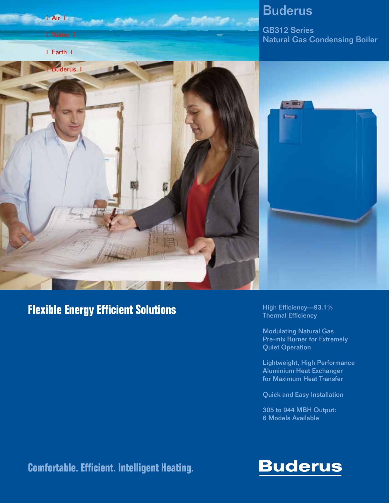

### **Flexible Energy Efficient Solutions**

High Efficiency—93.1% Thermal Efficiency

Modulating Natural Gas Pre-mix Burner for Extremely Quiet Operation

Lightweight, High Performance Aluminium Heat Exchanger for Maximum Heat Transfer

Quick and Easy Installation

305 to 944 MBH Output: 6 Models Available

**Comfortable. Efficient. Intelligent Heating.**

## **Buderus**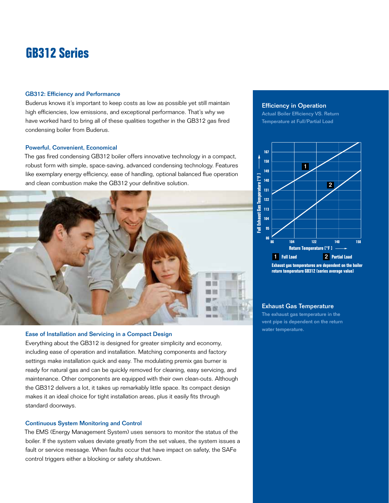### **GB312 Series**

#### GB312: Efficiency and Performance

Buderus knows it's important to keep costs as low as possible yet still maintain high efficiencies, low emissions, and exceptional performance. That's why we have worked hard to bring all of these qualities together in the GB312 gas fired condensing boiler from Buderus.

#### Powerful, Convenient, Economical

The gas fired condensing GB312 boiler offers innovative technology in a compact, robust form with simple, space-saving, advanced condensing technology. Features like exemplary energy efficiency, ease of handling, optional balanced flue operation and clean combustion make the GB312 your definitive solution.



#### Ease of Installation and Servicing in a Compact Design

Everything about the GB312 is designed for greater simplicity and economy, including ease of operation and installation. Matching components and factory settings make installation quick and easy. The modulating premix gas burner is ready for natural gas and can be quickly removed for cleaning, easy servicing, and maintenance. Other components are equipped with their own clean-outs. Although the GB312 delivers a lot, it takes up remarkably little space. Its compact design makes it an ideal choice for tight installation areas, plus it easily fits through standard doorways.

#### Continuous System Monitoring and Control

The EMS (Energy Management System) uses sensors to monitor the status of the boiler. If the system values deviate greatly from the set values, the system issues a fault or service message. When faults occur that have impact on safety, the SAFe control triggers either a blocking or safety shutdown.

#### Efficiency in Operation

Actual Boiler Efficiency VS. Return Temperature at Full/Partial Load



**return temperature GB312 (series average value)**

### Exhaust Gas Temperature

The exhaust gas temperature in the vent pipe is dependent on the return water temperature.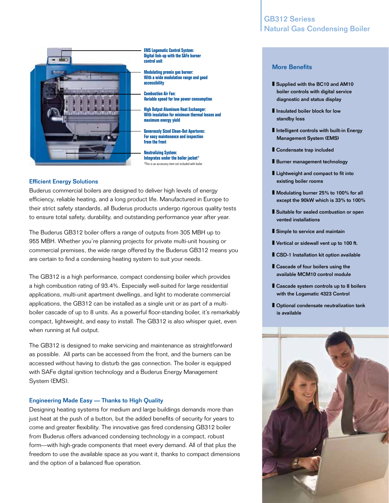

**EMS Logamatic Control System: Digital link-up with the SAFe burner control unit**

**Modulating premix gas burner: With a wide modulation range and accessibility**

**Combustion Air Fan: Variable speed for low power constant** 

**High Output Aluminum Heat Exchanger: With insulation for minimum thermal losses and maximum energy yield**

**Generously Sized Clean-Out Apertures: For easy maintenance and inspection from the front**

**Neutralizing System: Integrates under the boiler jacket\*** \*This is an accessory item not included with boiler

#### Efficient Energy Solutions

Buderus commercial boilers are designed to deliver high levels of energy efficiency, reliable heating, and a long product life. Manufactured in Europe to their strict safety standards, all Buderus products undergo rigorous quality tests to ensure total safety, durability, and outstanding performance year after year.

The Buderus GB312 boiler offers a range of outputs from 305 MBH up to 955 MBH. Whether you're planning projects for private multi-unit housing or commercial premises, the wide range offered by the Buderus GB312 means you are certain to find a condensing heating system to suit your needs.

The GB312 is a high performance, compact condensing boiler which provides a high combustion rating of 93.4%. Especially well-suited for large residential applications, multi-unit apartment dwellings, and light to moderate commercial applications, the GB312 can be installed as a single unit or as part of a multiboiler cascade of up to 8 units. As a powerful floor-standing boiler, it's remarkably compact, lightweight, and easy to install. The GB312 is also whisper quiet, even when running at full output.

The GB312 is designed to make servicing and maintenance as straightforward as possible. All parts can be accessed from the front, and the burners can be accessed without having to disturb the gas connection. The boiler is equipped with SAFe digital ignition technology and a Buderus Energy Management System (EMS).

#### Engineering Made Easy — Thanks to High Quality

Designing heating systems for medium and large buildings demands more than just heat at the push of a button, but the added benefits of security for years to come and greater flexibility. The innovative gas fired condensing GB312 boiler from Buderus offers advanced condensing technology in a compact, robust form—with high-grade components that meet every demand. All of that plus the freedom to use the available space as you want it, thanks to compact dimensions and the option of a balanced flue operation.

### GB312 Seriess Natural Gas Condensing Boiler

#### More Benefits

- Supplied with the BC10 and AM10 boiler controls with digital service diagnostic and status display
- Insulated boiler block for low standby loss
- Intelligent controls with built-in Energy Management System (EMS)
- Condensate trap included
- Burner management technology
- Lightweight and compact to fit into existing boiler rooms
- Modulating burner 25% to 100% for all except the 90kW which is 33% to 100%
- Suitable for sealed combustion or open vented installations
- Simple to service and maintain
- Vertical or sidewall vent up to 100 ft.
- CSD-1 Installation kit option available
- Cascade of four boilers using the available MCM10 control module
- Cascade system controls up to 8 boilers with the Logamatic 4323 Control
- Optional condensate neutralization tank is available

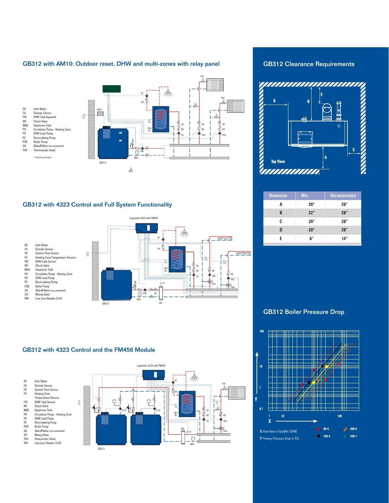#### GB312 with AM10: Outdoor reset, DHW and multi-zones with relay panel



#### GB312 with 4323 Control and Full System Functionality



#### GB312 with 4323 Control and the FM456 Module



GB312 Clearance Requirements



| <b>Dimension</b> | Min. | Recommended |
|------------------|------|-------------|
| A                | 20"  | 28"         |
| B                | 22"  | 28"         |
| r.               | 20"  | 28"         |
| D                | 20"  | 28"         |
| F                | 6"   | 14"         |
|                  |      |             |

GB312 Boiler Pressure Drop

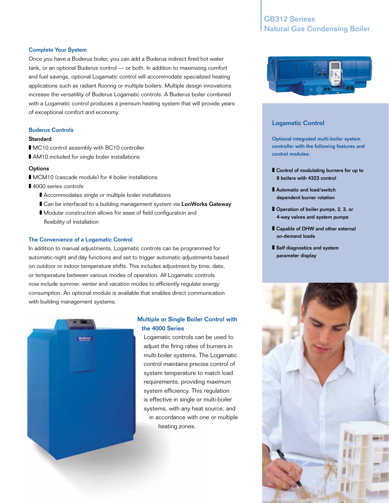### GB312 Seriess Natural Gas Condensing Boiler

#### Complete Your System

Once you have a Buderus boiler, you can add a Buderus indirect fired hot water tank, or an optional Buderus control — or both. In addition to maximizing comfort and fuel savings, optional Logamatic control will accommodate specialized heating applications such as radiant flooring or multiple boilers. Multiple design innovations increase the versatility of Buderus Logamatic controls. A Buderus boiler combined with a Logamatic control produces a premium heating system that will provide years of exceptional comfort and economy.

#### Buderus Controls

#### **Standard**

- MC10 control assembly with BC10 controller
- AM10 included for single boiler installations

#### **Options**

- MCM10 (cascade module) for 4 boiler installations
- 4000 series controls
	- Accommodates single or multiple boiler installations
	- Can be interfaced to a building management system via LonWorks Gateway
	- Modular construction allows for ease of field configuration and flexibility of installation

#### The Convenience of a Logamatic Control

In addition to manual adjustments, Logamatic controls can be programmed for automatic night and day functions and set to trigger automatic adjustments based on outdoor or indoor temperature shifts. This includes adjustment by time, date, or temperature between various modes of operation. All Logamatic controls now include summer, winter and vacation modes to efficiently regulate energy consumption. An optional module is available that enables direct communication with building management systems.



### Multiple or Single Boiler Control with the 4000 Series

Logamatic controls can be used to adjust the firing rates of burners in multi-boiler systems. The Logamatic control maintains precise control of system temperature to match load requirements, providing maximum system efficiency. This regulation is effective in single or multi-boiler systems, with any heat source, and in accordance with one or multiple heating zones.



#### Logamatic Control

Optional integrated multi-boiler system controller with the following features and control modules:

- Control of modulating burners for up to 8 boilers with 4323 control
- Automatic and load/switch dependent burner rotation
- Operation of boiler pumps, 2, 3, or 4-way valves and system pumps
- Capable of DHW and other external on-demand loads
- Self diagnostics and system parameter display

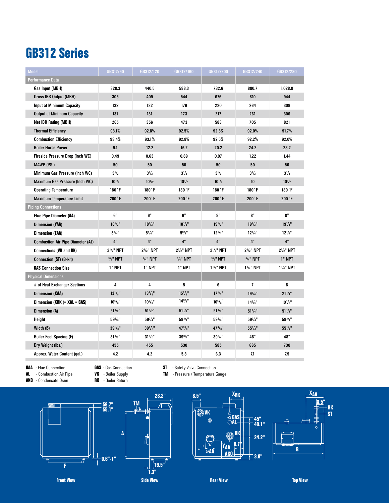## **GB312 Series**

| <b>Model</b>                             | GB312/90              | GB312/120                           | GB312/160                           | GB312/200              | GB312/240                           | GB312/280             |
|------------------------------------------|-----------------------|-------------------------------------|-------------------------------------|------------------------|-------------------------------------|-----------------------|
| Performance Data                         |                       |                                     |                                     |                        |                                     |                       |
| Gas Input (MBH)                          | 328.3                 | 440.5                               | 588.3                               | 732.6                  | 880.7                               | 1,028.8               |
| <b>Gross IBR Output (MBH)</b>            | 305                   | 409                                 | 544                                 | 676                    | 810                                 | 944                   |
| <b>Input at Minimum Capacity</b>         | 132                   | 132                                 | 176                                 | 220                    | 264                                 | 309                   |
| <b>Output at Minimum Capacity</b>        | 131                   | 131                                 | 173                                 | 217                    | 261                                 | 306                   |
| Net IBR Rating (MBH)                     | 265                   | 356                                 | 473                                 | 588                    | 705                                 | 821                   |
| <b>Thermal Efficiency</b>                | 93.1%                 | 92.8%                               | 92.5%                               | 92.3%                  | 92.0%                               | 91.7%                 |
| <b>Combustion Efficiency</b>             | 93.4%                 | 93.1%                               | 92.8%                               | 92.5%                  | 92.2%                               | 92.0%                 |
| <b>Boiler Horse Power</b>                | 9.1                   | 12.2                                | 16.2                                | 20.2                   | 24.2                                | 28.2                  |
| Fireside Pressure Drop (Inch WC)         | 0.49                  | 0.63                                | 0.89                                | 0.97                   | 1.22                                | 1.44                  |
| <b>MAWP (PSI)</b>                        | 50                    | 50                                  | 50                                  | 50                     | 50                                  | 50                    |
| Minimum Gas Pressure (Inch WC)           | $3^{1/2}$             | $3^{1/2}$                           | $3^{1/2}$                           | $3^{1/2}$              | $3^{1/2}$                           | $3^{1/2}$             |
| Maximum Gas Pressure (Inch WC)           | $10^{1/2}$            | $10^{1/2}$                          | $10^{1/2}$                          | $10^{1/2}$             | 10                                  | $10^{1/2}$            |
| <b>Operating Temperature</b>             | $180$ <sup>*</sup> F  | $180$ <sup>*</sup> F                | 180 °F                              | 180°F                  | $180$ <sup>*</sup> F                | 180 F                 |
| <b>Maximum Temperature Limit</b>         | $200$ <sup>*</sup> F  | $200$ <sup>*</sup> F                | $200$ <sup>*</sup> F                | $200$ <sup>*</sup> F   | $200$ <sup>*</sup> F                | $200$ <sup>*</sup> F  |
| <b>Piping Connections</b>                |                       |                                     |                                     |                        |                                     |                       |
| Flue Pipe Diameter (AA)                  | 6"                    | 6"                                  | 6"                                  | 8"                     | 8"                                  | 8"                    |
| Dimension (YAA)                          | $18^{1/2}$ "          | $18^{1/2}$ "                        | $18^{1/2}$ "                        | $19^{1/2}$ "           | $19^{1/2}$                          | $19^{1/2}$            |
| Dimension (ZAA)                          | $5^{3}/4"$            | $5^{3}/4"$                          | $5^{3}/4"$                          | $12^{1/4"}$            | $12^{1/4}$                          | $12^{1/4}$            |
| <b>Combustion Air Pipe Diameter (AL)</b> | 4"                    | 4"                                  | 4"                                  | 4"                     | 4"                                  | 4"                    |
| Connections (VK and RK)                  | $2^{1/2}$ " NPT       | 2 <sup>1</sup> / <sub>2</sub> " NPT | 2 <sup>1</sup> / <sub>2</sub> " NPT | $2^{1/2}$ " NPT        | 2 <sup>1</sup> / <sub>2</sub> " NPT | $2^{1/2}$ " NPT       |
| Connection (ST) (B-kit)                  | $3/4$ " NPT           | $3/4$ " NPT                         | $3/4$ " NPT                         | $3/4$ " NPT            | $3/4$ " NPT                         | 1" NPT                |
| <b>GAS</b> Connection Size               | 1" NPT                | 1" NPT                              | 1" NPT                              | 11/ <sub>4</sub> " NPT | 11/ <sub>4</sub> " NPT              | 11/4" NPT             |
| <b>Physical Dimensions</b>               |                       |                                     |                                     |                        |                                     |                       |
| # of Heat Exchanger Sections             | 4                     | 4                                   | 5                                   | 6                      | $\overline{7}$                      | 8                     |
| Dimension (XAA)                          | $13^{1}/s$ "          | $13^{1}/s$ "                        | $15^{1}/s$ "                        | $17^{1/4}$ "           | $19^{1/4"}$                         | $21\frac{1}{4}$ "     |
| Dimension (XRK $(= XAL = GAS)$ )         | $10^{5}/\mathrm{s}$ " | $10^{5}/\mathrm{s}$ "               | $14^{3}/4"$                         | $10^{5}/\frac{1}{8}$   | $14^{3}/4"$                         | $10^{5}/\mathrm{s}$ " |
| Dimension (A)                            | $51\frac{1}{2}$ "     | $51\frac{1}{2}$ "                   | $51\frac{1}{4}$ "                   | $51\frac{1}{4}$ "      | $51\frac{1}{4}$ "                   | $51\frac{1}{4}$ "     |
| Height                                   | $59^{3}/4"$           | $59^{3}/4"$                         | $59^{3}/4"$                         | $59^{3}/4"$            | $59^{3/4"$                          | $59^{3/4}$ "          |
| Width (B)                                | $39^1/s$ "            | $39^1/s$ "                          | $47^{3}/\mathrm{s}$ "               | $47^{3}/_{8}$ "        | $55\frac{1}{2}$ "                   | $55\frac{1}{2}$ "     |
| Boiler Feet Spacing (F)                  | $31\frac{1}{2}$ "     | $31\frac{1}{2}$ "                   | $39^{3}/4"$                         | $39^{3}/4"$            | 48"                                 | 48"                   |
| Dry Weight (lbs.)                        | 455                   | 455                                 | 530                                 | 585                    | 665                                 | 730                   |
| Approx. Water Content (gal.)             | 4.2                   | 4.2                                 | 5.3                                 | 6.3                    | 7.1                                 | 7.9                   |
|                                          |                       |                                     |                                     |                        |                                     |                       |

**AKO** - Condensate Drain

**AAA** - Flue Connection **GAS** - Gas Connection **ST** - Safety Valve Connection<br>**AL** - Combustion Air Pipe **VK** - Boiler Supply **TM** - Pressure / Temperature C **ALC FRAUTE AIR COMBUSTION AIR COMPUTE AIR PIPE SUPPLIES AND RESULT AT A PRESSURE / Temperature Gauge BR R BR COMPUTE 3** 



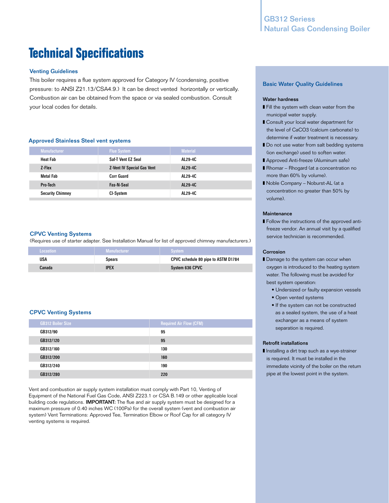# **Technical Specifications**

#### Venting Guidelines

This boiler requires a flue system approved for Category IV (condensing, positive pressure: to ANSI Z21.13/CSA4.9.) It can be direct vented horizontally or vertically. Combustion air can be obtained from the space or via sealed combustion. Consult your local codes for details.

#### Approved Stainless Steel vent systems

| <b>Manufacturer</b>     | <b>Flue System</b>                | <b>Material</b> |
|-------------------------|-----------------------------------|-----------------|
| <b>Heat Fab</b>         | Saf-T Vent EZ Seal                | AL29-4C         |
| Z-Flex                  | <b>Z-Vent IV Special Gas Vent</b> | AL29-4C         |
| <b>Metal Fab</b>        | <b>Corr Guard</b>                 | AL29-4C         |
| Pro-Tech                | Fas-N-Seal                        | AL29-4C         |
| <b>Security Chimney</b> | CI-System                         | AL29-4C         |

#### CPVC Venting Systems

(Requires use of starter adapter. See Installation Manual for list of approved chimney manufacturers.)

| Locastion ' | <b>Manufacturer</b> | System                              |
|-------------|---------------------|-------------------------------------|
| USA         | <b>Spears</b>       | CPVC schedule 80 pipe to ASTM D1784 |
| Canada      | <b>IPEX</b>         | System 636 CPVC                     |

#### CPVC Venting Systems

| <b>GB312 Boiler Size</b> | <b>Required Air Flow (CFM)</b> |
|--------------------------|--------------------------------|
| GB312/90                 | 95                             |
| GB312/120                | 95                             |
| GB312/160                | 130                            |
| GB312/200                | 160                            |
| GB312/240                | 190                            |
| GB312/280                | 220                            |

Vent and combustion air supply system installation must comply with Part 10, Venting of Equipment of the National Fuel Gas Code, ANSI Z223.1 or CSA B.149 or other applicable local building code regulations. **IMPORTANT:** The flue and air supply system must be designed for a maximum pressure of 0.40 inches WC (100Pa) for the overall system (vent and combustion air system) Vent Terminations: Approved Tee, Termination Elbow or Roof Cap for all category IV venting systems is required.

#### Basic Water Quality Guidelines

#### Water hardness

- Fill the system with clean water from the municipal water supply.
- Consult your local water department for the level of CaCO3 (calcium carbonate) to determine if water treatment is necessary.
- Do not use water from salt bedding systems (ion exchange) used to soften water.
- Approved Anti-freeze (Aluminum safe)
- Rhomar Rhogard (at a concentration no more than 60% by volume).
- Noble Company Noburst-AL (at a concentration no greater than 50% by volume).

#### **Maintenance**

■ Follow the instructions of the approved antifreeze vendor. An annual visit by a qualified service technician is recommended.

#### Corrosion

- Damage to the system can occur when oxygen is introduced to the heating system water. The following must be avoided for best system operation:
	- Undersized or faulty expansion vessels
	- Open vented systems
	- If the system can not be constructed as a sealed system, the use of a heat exchanger as a means of system separation is required.

#### Retrofit installations

■ Installing a dirt trap such as a wye-strainer is required. It must be installed in the immediate vicinity of the boiler on the return pipe at the lowest point in the system.